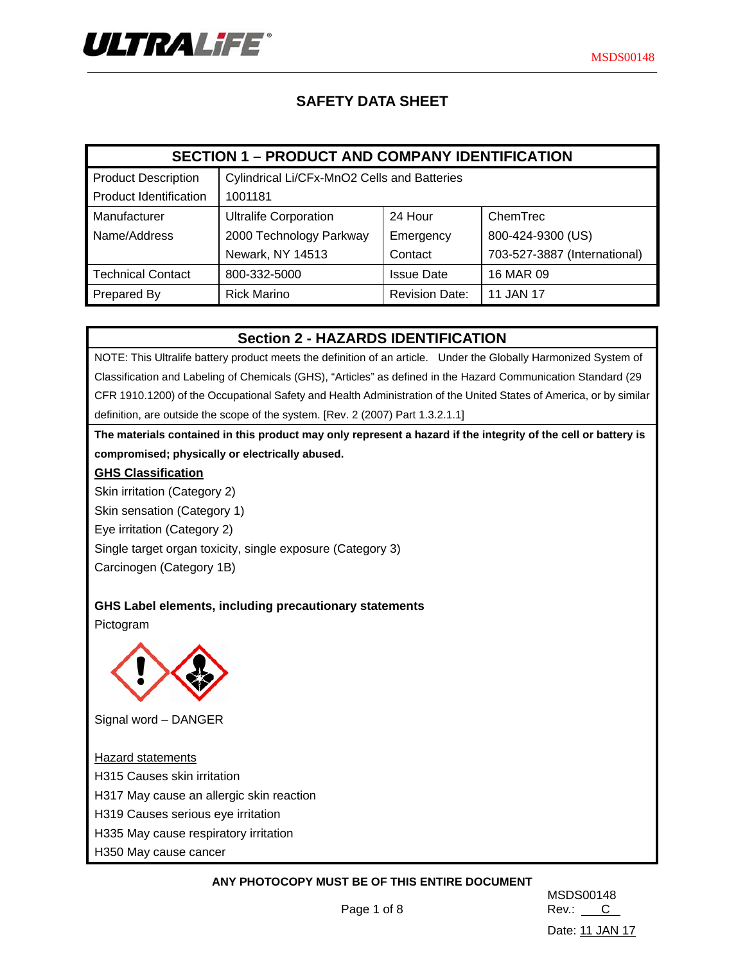

# **SAFETY DATA SHEET**

| <b>SECTION 1 - PRODUCT AND COMPANY IDENTIFICATION</b> |                                             |                       |                              |  |  |  |  |  |
|-------------------------------------------------------|---------------------------------------------|-----------------------|------------------------------|--|--|--|--|--|
| <b>Product Description</b>                            | Cylindrical Li/CFx-MnO2 Cells and Batteries |                       |                              |  |  |  |  |  |
| <b>Product Identification</b>                         | 1001181                                     |                       |                              |  |  |  |  |  |
| Manufacturer                                          | <b>Ultralife Corporation</b>                | 24 Hour               | ChemTrec                     |  |  |  |  |  |
| Name/Address                                          | 2000 Technology Parkway                     | Emergency             | 800-424-9300 (US)            |  |  |  |  |  |
|                                                       | Newark, NY 14513                            | Contact               | 703-527-3887 (International) |  |  |  |  |  |
| <b>Technical Contact</b>                              | 800-332-5000                                | <b>Issue Date</b>     | 16 MAR 09                    |  |  |  |  |  |
| Prepared By                                           | <b>Rick Marino</b>                          | <b>Revision Date:</b> | 11 JAN 17                    |  |  |  |  |  |

## **Section 2 - HAZARDS IDENTIFICATION**

NOTE: This Ultralife battery product meets the definition of an article. Under the Globally Harmonized System of Classification and Labeling of Chemicals (GHS), "Articles" as defined in the Hazard Communication Standard (29 CFR 1910.1200) of the Occupational Safety and Health Administration of the United States of America, or by similar definition, are outside the scope of the system. [Rev. 2 (2007) Part 1.3.2.1.1]

**The materials contained in this product may only represent a hazard if the integrity of the cell or battery is compromised; physically or electrically abused.** 

### **GHS Classification**

Skin irritation (Category 2)

Skin sensation (Category 1)

Eye irritation (Category 2)

Single target organ toxicity, single exposure (Category 3)

Carcinogen (Category 1B)

### **GHS Label elements, including precautionary statements**

Pictogram



Signal word – DANGER

Hazard statements

H315 Causes skin irritation

H317 May cause an allergic skin reaction

H319 Causes serious eye irritation

H335 May cause respiratory irritation

H350 May cause cancer

### **ANY PHOTOCOPY MUST BE OF THIS ENTIRE DOCUMENT**

 MSDS00148 Page 1 of 8 Rev.: C Date: 11 JAN 17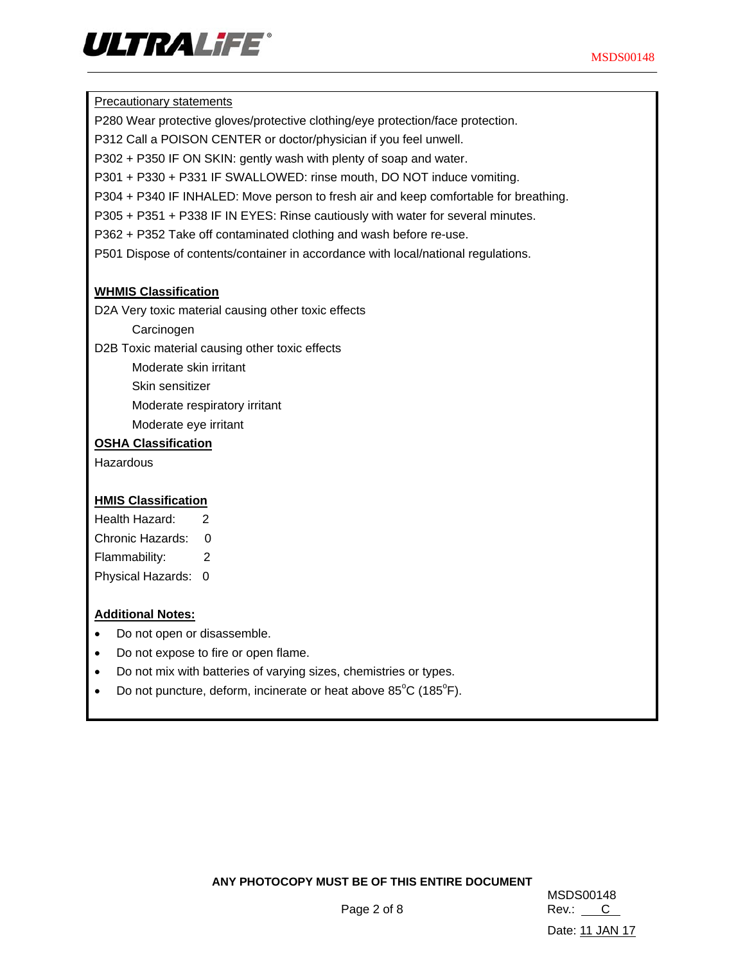

#### Precautionary statements

P280 Wear protective gloves/protective clothing/eye protection/face protection.

P312 Call a POISON CENTER or doctor/physician if you feel unwell.

P302 + P350 IF ON SKIN: gently wash with plenty of soap and water.

P301 + P330 + P331 IF SWALLOWED: rinse mouth, DO NOT induce vomiting.

P304 + P340 IF INHALED: Move person to fresh air and keep comfortable for breathing.

P305 + P351 + P338 IF IN EYES: Rinse cautiously with water for several minutes.

P362 + P352 Take off contaminated clothing and wash before re-use.

P501 Dispose of contents/container in accordance with local/national regulations.

### **WHMIS Classification**

D2A Very toxic material causing other toxic effects

**Carcinogen** 

D2B Toxic material causing other toxic effects

Moderate skin irritant

Skin sensitizer

Moderate respiratory irritant

Moderate eye irritant

### **OSHA Classification**

Hazardous

### **HMIS Classification**

Health Hazard: 2 Chronic Hazards: 0

Flammability: 2

Physical Hazards: 0

### **Additional Notes:**

- Do not open or disassemble.
- Do not expose to fire or open flame.
- Do not mix with batteries of varying sizes, chemistries or types.
- Do not puncture, deform, incinerate or heat above  $85^{\circ}$ C (185 $^{\circ}$ F).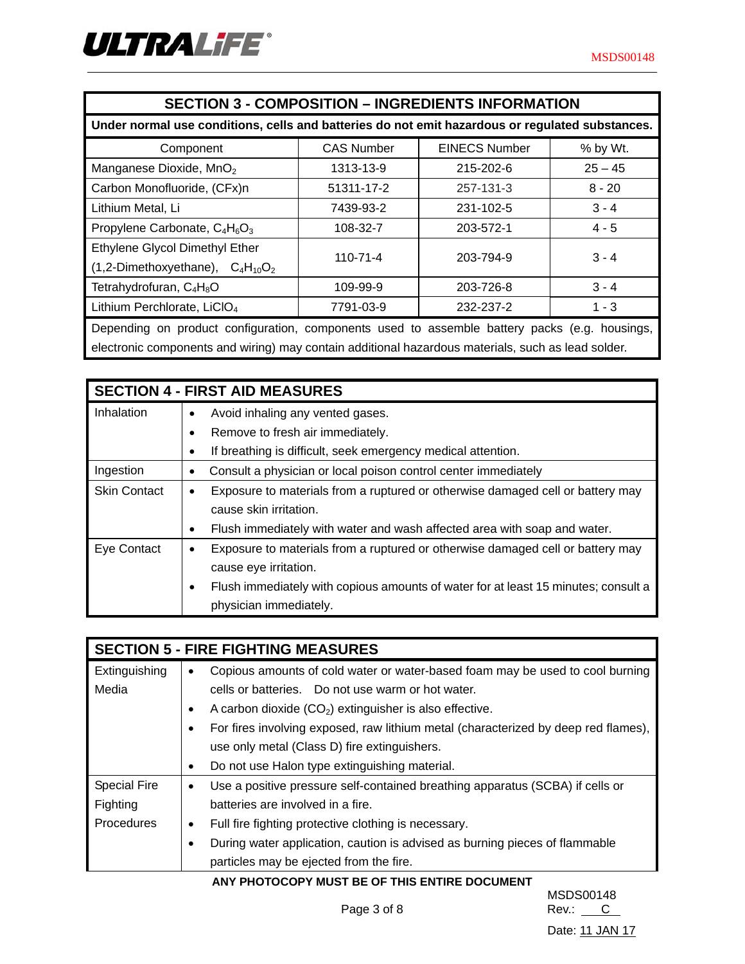| <b>SECTION 3 - COMPOSITION - INGREDIENTS INFORMATION</b>                                        |                   |                      |           |  |  |  |
|-------------------------------------------------------------------------------------------------|-------------------|----------------------|-----------|--|--|--|
| Under normal use conditions, cells and batteries do not emit hazardous or regulated substances. |                   |                      |           |  |  |  |
| Component                                                                                       | <b>CAS Number</b> | <b>EINECS Number</b> | % by Wt.  |  |  |  |
| Manganese Dioxide, MnO <sub>2</sub>                                                             | 1313-13-9         | 215-202-6            | $25 - 45$ |  |  |  |
| Carbon Monofluoride, (CFx)n                                                                     | 51311-17-2        | 257-131-3            | $8 - 20$  |  |  |  |
| Lithium Metal, Li                                                                               | 7439-93-2         | 231-102-5            | $3 - 4$   |  |  |  |
| Propylene Carbonate, $C_4H_6O_3$                                                                | 108-32-7          | 203-572-1            | $4 - 5$   |  |  |  |
| Ethylene Glycol Dimethyl Ether<br>$(1,2$ -Dimethoxyethane), $C_4H_{10}O_2$                      | $110 - 71 - 4$    | 203-794-9            | $3 - 4$   |  |  |  |
| Tetrahydrofuran, C <sub>4</sub> H <sub>8</sub> O                                                | 109-99-9          | 203-726-8            | $3 - 4$   |  |  |  |
| Lithium Perchlorate, LiCIO <sub>4</sub>                                                         | 7791-03-9         | 232-237-2            | $1 - 3$   |  |  |  |
| Depending an product configuration companents used to coopmble bottomy poeks (e.g. boughase     |                   |                      |           |  |  |  |

Depending on product configuration, components used to assemble battery packs (e.g. housings, electronic components and wiring) may contain additional hazardous materials, such as lead solder.

|                     | <b>SECTION 4 - FIRST AID MEASURES</b>                                                           |  |  |  |  |  |  |
|---------------------|-------------------------------------------------------------------------------------------------|--|--|--|--|--|--|
| Inhalation          | Avoid inhaling any vented gases.<br>$\bullet$                                                   |  |  |  |  |  |  |
|                     | Remove to fresh air immediately.                                                                |  |  |  |  |  |  |
|                     | If breathing is difficult, seek emergency medical attention.                                    |  |  |  |  |  |  |
| Ingestion           | Consult a physician or local poison control center immediately                                  |  |  |  |  |  |  |
| <b>Skin Contact</b> | Exposure to materials from a ruptured or otherwise damaged cell or battery may<br>$\bullet$     |  |  |  |  |  |  |
|                     | cause skin irritation.                                                                          |  |  |  |  |  |  |
|                     | Flush immediately with water and wash affected area with soap and water.<br>$\bullet$           |  |  |  |  |  |  |
| Eye Contact         | Exposure to materials from a ruptured or otherwise damaged cell or battery may<br>$\bullet$     |  |  |  |  |  |  |
|                     | cause eye irritation.                                                                           |  |  |  |  |  |  |
|                     | Flush immediately with copious amounts of water for at least 15 minutes; consult a<br>$\bullet$ |  |  |  |  |  |  |
|                     | physician immediately.                                                                          |  |  |  |  |  |  |

|                     | <b>SECTION 5 - FIRE FIGHTING MEASURES</b>                                                  |  |  |  |  |  |  |  |
|---------------------|--------------------------------------------------------------------------------------------|--|--|--|--|--|--|--|
| Extinguishing       | Copious amounts of cold water or water-based foam may be used to cool burning<br>$\bullet$ |  |  |  |  |  |  |  |
| Media               | cells or batteries. Do not use warm or hot water.                                          |  |  |  |  |  |  |  |
|                     | A carbon dioxide $(CO_2)$ extinguisher is also effective.<br>$\bullet$                     |  |  |  |  |  |  |  |
|                     | For fires involving exposed, raw lithium metal (characterized by deep red flames),<br>٠    |  |  |  |  |  |  |  |
|                     | use only metal (Class D) fire extinguishers.                                               |  |  |  |  |  |  |  |
|                     | Do not use Halon type extinguishing material.<br>٠                                         |  |  |  |  |  |  |  |
| <b>Special Fire</b> | Use a positive pressure self-contained breathing apparatus (SCBA) if cells or<br>$\bullet$ |  |  |  |  |  |  |  |
| Fighting            | batteries are involved in a fire.                                                          |  |  |  |  |  |  |  |
| Procedures          | Full fire fighting protective clothing is necessary.<br>$\bullet$                          |  |  |  |  |  |  |  |
|                     | During water application, caution is advised as burning pieces of flammable<br>٠           |  |  |  |  |  |  |  |
|                     | particles may be ejected from the fire.                                                    |  |  |  |  |  |  |  |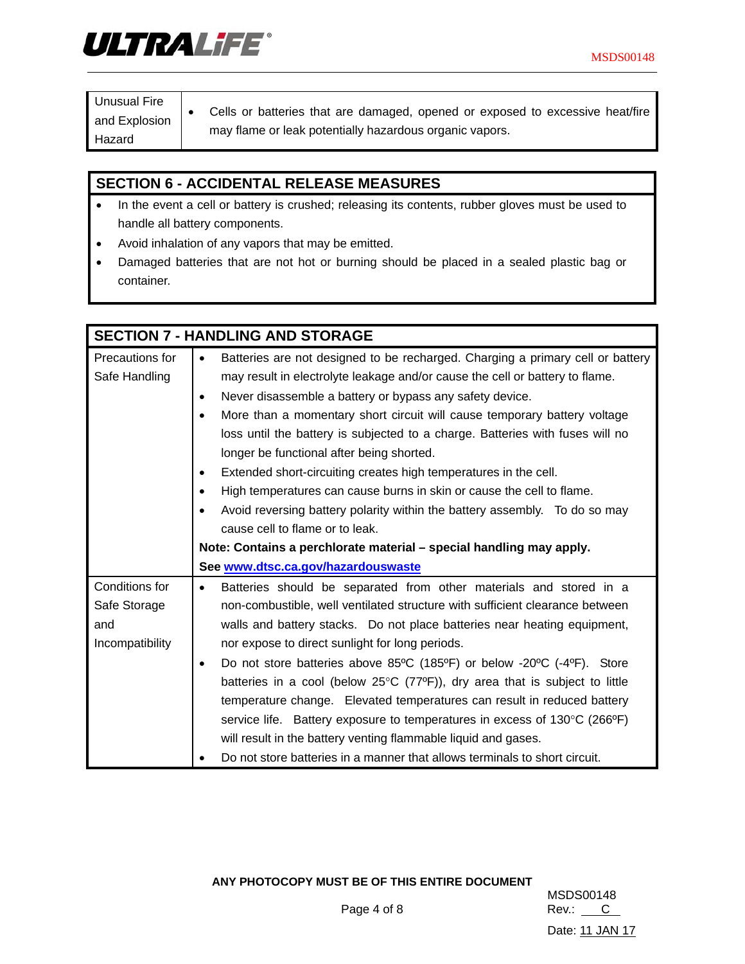

Unusual Fire and Explosion Hazard

 Cells or batteries that are damaged, opened or exposed to excessive heat/fire may flame or leak potentially hazardous organic vapors.

# **SECTION 6 - ACCIDENTAL RELEASE MEASURES**

- In the event a cell or battery is crushed; releasing its contents, rubber gloves must be used to handle all battery components.
- Avoid inhalation of any vapors that may be emitted.
- Damaged batteries that are not hot or burning should be placed in a sealed plastic bag or container.

|                                                          | <b>SECTION 7 - HANDLING AND STORAGE</b>                                                                                                                                                                                                                                                                                                                                                                                                                                                                                                                                                                                                                                                                                                                                                                                                                 |
|----------------------------------------------------------|---------------------------------------------------------------------------------------------------------------------------------------------------------------------------------------------------------------------------------------------------------------------------------------------------------------------------------------------------------------------------------------------------------------------------------------------------------------------------------------------------------------------------------------------------------------------------------------------------------------------------------------------------------------------------------------------------------------------------------------------------------------------------------------------------------------------------------------------------------|
| Precautions for<br>Safe Handling                         | Batteries are not designed to be recharged. Charging a primary cell or battery<br>$\bullet$<br>may result in electrolyte leakage and/or cause the cell or battery to flame.<br>Never disassemble a battery or bypass any safety device.<br>$\bullet$<br>More than a momentary short circuit will cause temporary battery voltage<br>$\bullet$<br>loss until the battery is subjected to a charge. Batteries with fuses will no<br>longer be functional after being shorted.<br>Extended short-circuiting creates high temperatures in the cell.<br>$\bullet$<br>High temperatures can cause burns in skin or cause the cell to flame.<br>$\bullet$<br>Avoid reversing battery polarity within the battery assembly. To do so may<br>$\bullet$<br>cause cell to flame or to leak.<br>Note: Contains a perchlorate material - special handling may apply. |
|                                                          | See www.dtsc.ca.gov/hazardouswaste                                                                                                                                                                                                                                                                                                                                                                                                                                                                                                                                                                                                                                                                                                                                                                                                                      |
| Conditions for<br>Safe Storage<br>and<br>Incompatibility | Batteries should be separated from other materials and stored in a<br>$\bullet$<br>non-combustible, well ventilated structure with sufficient clearance between<br>walls and battery stacks. Do not place batteries near heating equipment,<br>nor expose to direct sunlight for long periods.<br>Do not store batteries above 85°C (185°F) or below -20°C (-4°F). Store<br>$\bullet$<br>batteries in a cool (below $25^{\circ}$ C (77 $^{\circ}$ F)), dry area that is subject to little<br>temperature change. Elevated temperatures can result in reduced battery<br>service life. Battery exposure to temperatures in excess of 130°C (266°F)<br>will result in the battery venting flammable liquid and gases.<br>Do not store batteries in a manner that allows terminals to short circuit.                                                       |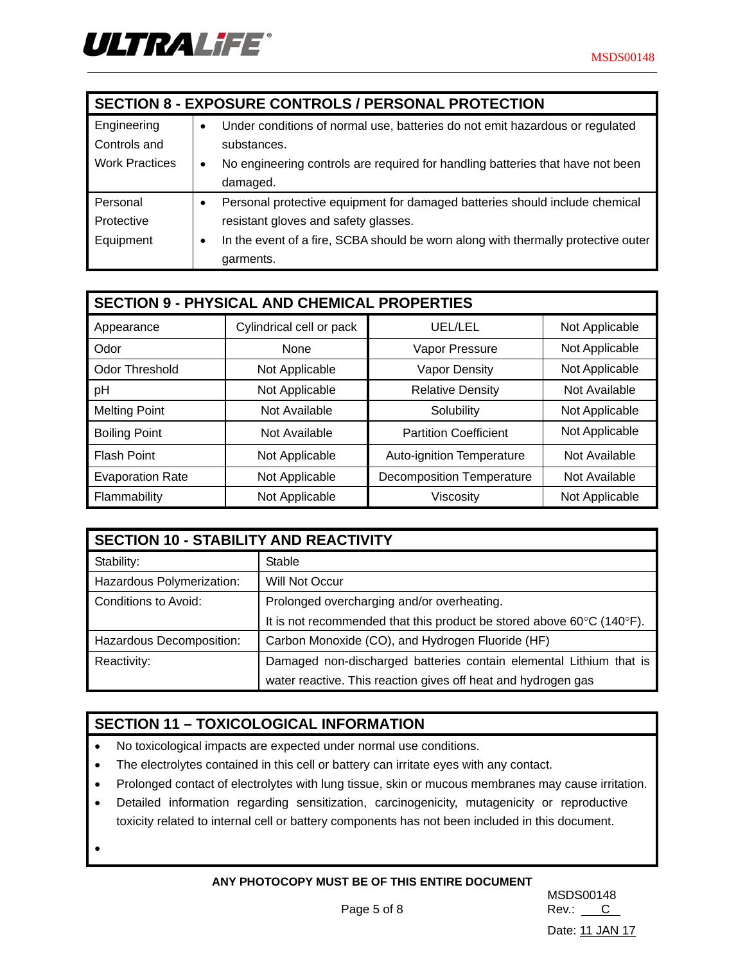

| <b>SECTION 8 - EXPOSURE CONTROLS / PERSONAL PROTECTION</b> |                                                                                           |  |  |  |  |  |
|------------------------------------------------------------|-------------------------------------------------------------------------------------------|--|--|--|--|--|
| Engineering                                                | Under conditions of normal use, batteries do not emit hazardous or regulated<br>$\bullet$ |  |  |  |  |  |
| Controls and                                               | substances.                                                                               |  |  |  |  |  |
| <b>Work Practices</b>                                      | No engineering controls are required for handling batteries that have not been<br>٠       |  |  |  |  |  |
|                                                            | damaged.                                                                                  |  |  |  |  |  |
| Personal                                                   | Personal protective equipment for damaged batteries should include chemical<br>٠          |  |  |  |  |  |
| Protective                                                 | resistant gloves and safety glasses.                                                      |  |  |  |  |  |
| Equipment                                                  | In the event of a fire, SCBA should be worn along with thermally protective outer<br>٠    |  |  |  |  |  |
|                                                            | garments.                                                                                 |  |  |  |  |  |

| <b>SECTION 9 - PHYSICAL AND CHEMICAL PROPERTIES</b> |                          |                                  |                |  |  |  |  |  |
|-----------------------------------------------------|--------------------------|----------------------------------|----------------|--|--|--|--|--|
| Appearance                                          | Cylindrical cell or pack | UEL/LEL                          | Not Applicable |  |  |  |  |  |
| Odor                                                | None                     | Vapor Pressure                   | Not Applicable |  |  |  |  |  |
| <b>Odor Threshold</b>                               | Not Applicable           | Vapor Density                    | Not Applicable |  |  |  |  |  |
| pH                                                  | Not Applicable           | <b>Relative Density</b>          | Not Available  |  |  |  |  |  |
| <b>Melting Point</b>                                | Not Available            | Solubility                       | Not Applicable |  |  |  |  |  |
| <b>Boiling Point</b>                                | Not Available            | <b>Partition Coefficient</b>     | Not Applicable |  |  |  |  |  |
| <b>Flash Point</b>                                  | Not Applicable           | Auto-ignition Temperature        | Not Available  |  |  |  |  |  |
| <b>Evaporation Rate</b>                             | Not Applicable           | <b>Decomposition Temperature</b> | Not Available  |  |  |  |  |  |
| Flammability                                        | Not Applicable           | Viscosity                        | Not Applicable |  |  |  |  |  |

| <b>SECTION 10 - STABILITY AND REACTIVITY</b> |                                                                                           |  |  |  |  |
|----------------------------------------------|-------------------------------------------------------------------------------------------|--|--|--|--|
| Stability:                                   | <b>Stable</b>                                                                             |  |  |  |  |
| Hazardous Polymerization:                    | Will Not Occur                                                                            |  |  |  |  |
| Conditions to Avoid:                         | Prolonged overcharging and/or overheating.                                                |  |  |  |  |
|                                              | It is not recommended that this product be stored above 60 $\degree$ C (140 $\degree$ F). |  |  |  |  |
| Hazardous Decomposition:                     | Carbon Monoxide (CO), and Hydrogen Fluoride (HF)                                          |  |  |  |  |
| Reactivity:                                  | Damaged non-discharged batteries contain elemental Lithium that is                        |  |  |  |  |
|                                              | water reactive. This reaction gives off heat and hydrogen gas                             |  |  |  |  |

# **SECTION 11 – TOXICOLOGICAL INFORMATION**

- No toxicological impacts are expected under normal use conditions.
- The electrolytes contained in this cell or battery can irritate eyes with any contact.
- Prolonged contact of electrolytes with lung tissue, skin or mucous membranes may cause irritation.
- Detailed information regarding sensitization, carcinogenicity, mutagenicity or reproductive toxicity related to internal cell or battery components has not been included in this document.

 $\bullet$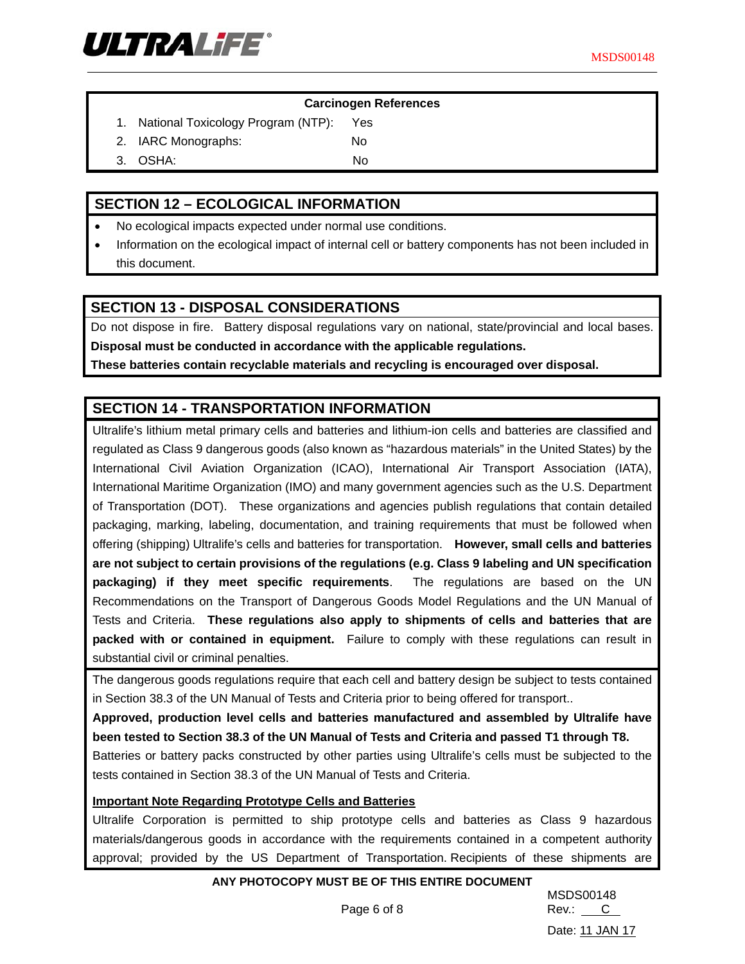

| <b>Carcinogen References</b> |                                    |     |  |  |  |  |  |
|------------------------------|------------------------------------|-----|--|--|--|--|--|
|                              | National Toxicology Program (NTP): | Yes |  |  |  |  |  |
|                              | 2. IARC Monographs:                | No  |  |  |  |  |  |
| 3.                           | OSHA:                              | No  |  |  |  |  |  |

## **SECTION 12 – ECOLOGICAL INFORMATION**

- No ecological impacts expected under normal use conditions.
- Information on the ecological impact of internal cell or battery components has not been included in this document.

### **SECTION 13 - DISPOSAL CONSIDERATIONS**

Do not dispose in fire. Battery disposal regulations vary on national, state/provincial and local bases. **Disposal must be conducted in accordance with the applicable regulations.**

**These batteries contain recyclable materials and recycling is encouraged over disposal.** 

## **SECTION 14 - TRANSPORTATION INFORMATION**

Ultralife's lithium metal primary cells and batteries and lithium-ion cells and batteries are classified and regulated as Class 9 dangerous goods (also known as "hazardous materials" in the United States) by the International Civil Aviation Organization (ICAO), International Air Transport Association (IATA), International Maritime Organization (IMO) and many government agencies such as the U.S. Department of Transportation (DOT). These organizations and agencies publish regulations that contain detailed packaging, marking, labeling, documentation, and training requirements that must be followed when offering (shipping) Ultralife's cells and batteries for transportation. **However, small cells and batteries are not subject to certain provisions of the regulations (e.g. Class 9 labeling and UN specification packaging) if they meet specific requirements**. The regulations are based on the UN Recommendations on the Transport of Dangerous Goods Model Regulations and the UN Manual of Tests and Criteria. **These regulations also apply to shipments of cells and batteries that are packed with or contained in equipment.** Failure to comply with these regulations can result in substantial civil or criminal penalties.

The dangerous goods regulations require that each cell and battery design be subject to tests contained in Section 38.3 of the UN Manual of Tests and Criteria prior to being offered for transport..

**Approved, production level cells and batteries manufactured and assembled by Ultralife have been tested to Section 38.3 of the UN Manual of Tests and Criteria and passed T1 through T8.** 

Batteries or battery packs constructed by other parties using Ultralife's cells must be subjected to the tests contained in Section 38.3 of the UN Manual of Tests and Criteria.

### **Important Note Regarding Prototype Cells and Batteries**

Ultralife Corporation is permitted to ship prototype cells and batteries as Class 9 hazardous materials/dangerous goods in accordance with the requirements contained in a competent authority approval; provided by the US Department of Transportation. Recipients of these shipments are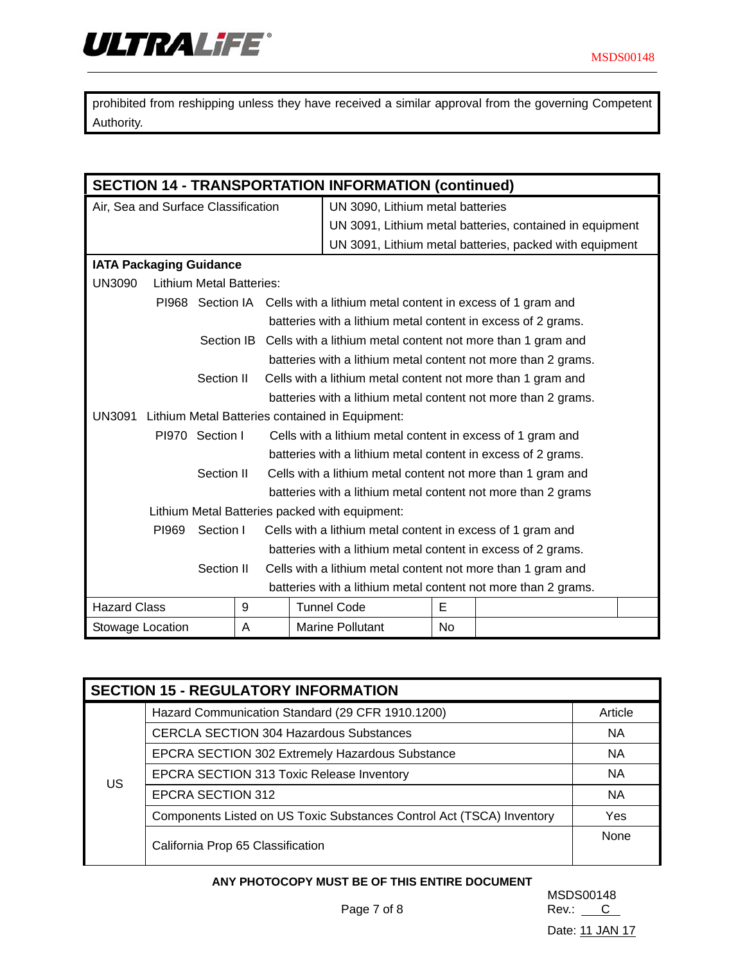

prohibited from reshipping unless they have received a similar approval from the governing Competent Authority.

|                                                              |       |                                 |   |           | <b>SECTION 14 - TRANSPORTATION INFORMATION (continued)</b>                  |   |                                                               |  |
|--------------------------------------------------------------|-------|---------------------------------|---|-----------|-----------------------------------------------------------------------------|---|---------------------------------------------------------------|--|
| Air, Sea and Surface Classification                          |       |                                 |   |           | UN 3090, Lithium metal batteries                                            |   |                                                               |  |
|                                                              |       |                                 |   |           |                                                                             |   | UN 3091, Lithium metal batteries, contained in equipment      |  |
|                                                              |       |                                 |   |           |                                                                             |   | UN 3091, Lithium metal batteries, packed with equipment       |  |
| <b>IATA Packaging Guidance</b>                               |       |                                 |   |           |                                                                             |   |                                                               |  |
| <b>UN3090</b>                                                |       | <b>Lithium Metal Batteries:</b> |   |           |                                                                             |   |                                                               |  |
|                                                              |       |                                 |   |           | PI968 Section IA Cells with a lithium metal content in excess of 1 gram and |   |                                                               |  |
|                                                              |       |                                 |   |           |                                                                             |   | batteries with a lithium metal content in excess of 2 grams.  |  |
|                                                              |       | Section IB                      |   |           |                                                                             |   | Cells with a lithium metal content not more than 1 gram and   |  |
|                                                              |       |                                 |   |           |                                                                             |   | batteries with a lithium metal content not more than 2 grams. |  |
|                                                              |       | Section II                      |   |           |                                                                             |   | Cells with a lithium metal content not more than 1 gram and   |  |
|                                                              |       |                                 |   |           |                                                                             |   | batteries with a lithium metal content not more than 2 grams. |  |
|                                                              |       |                                 |   |           | UN3091 Lithium Metal Batteries contained in Equipment:                      |   |                                                               |  |
|                                                              |       | PI970 Section I                 |   |           | Cells with a lithium metal content in excess of 1 gram and                  |   |                                                               |  |
|                                                              |       |                                 |   |           |                                                                             |   | batteries with a lithium metal content in excess of 2 grams.  |  |
|                                                              |       | Section II                      |   |           |                                                                             |   | Cells with a lithium metal content not more than 1 gram and   |  |
|                                                              |       |                                 |   |           |                                                                             |   | batteries with a lithium metal content not more than 2 grams  |  |
|                                                              |       |                                 |   |           | Lithium Metal Batteries packed with equipment:                              |   |                                                               |  |
|                                                              | PI969 | Section I                       |   |           | Cells with a lithium metal content in excess of 1 gram and                  |   |                                                               |  |
| batteries with a lithium metal content in excess of 2 grams. |       |                                 |   |           |                                                                             |   |                                                               |  |
|                                                              |       | Section II                      |   |           |                                                                             |   | Cells with a lithium metal content not more than 1 gram and   |  |
|                                                              |       |                                 |   |           |                                                                             |   | batteries with a lithium metal content not more than 2 grams. |  |
| <b>Hazard Class</b>                                          |       |                                 | 9 |           | <b>Tunnel Code</b>                                                          | Е |                                                               |  |
| Stowage Location<br>A<br>Marine Pollutant                    |       |                                 |   | <b>No</b> |                                                                             |   |                                                               |  |

| <b>SECTION 15 - REGULATORY INFORMATION</b> |                                                                       |             |  |  |  |
|--------------------------------------------|-----------------------------------------------------------------------|-------------|--|--|--|
|                                            | Hazard Communication Standard (29 CFR 1910.1200)                      | Article     |  |  |  |
|                                            | <b>CERCLA SECTION 304 Hazardous Substances</b>                        | <b>NA</b>   |  |  |  |
|                                            | <b>EPCRA SECTION 302 Extremely Hazardous Substance</b>                | <b>NA</b>   |  |  |  |
| <b>US</b>                                  | EPCRA SECTION 313 Toxic Release Inventory                             | <b>NA</b>   |  |  |  |
|                                            | <b>EPCRA SECTION 312</b>                                              | <b>NA</b>   |  |  |  |
|                                            | Components Listed on US Toxic Substances Control Act (TSCA) Inventory | Yes         |  |  |  |
|                                            | California Prop 65 Classification                                     | <b>None</b> |  |  |  |